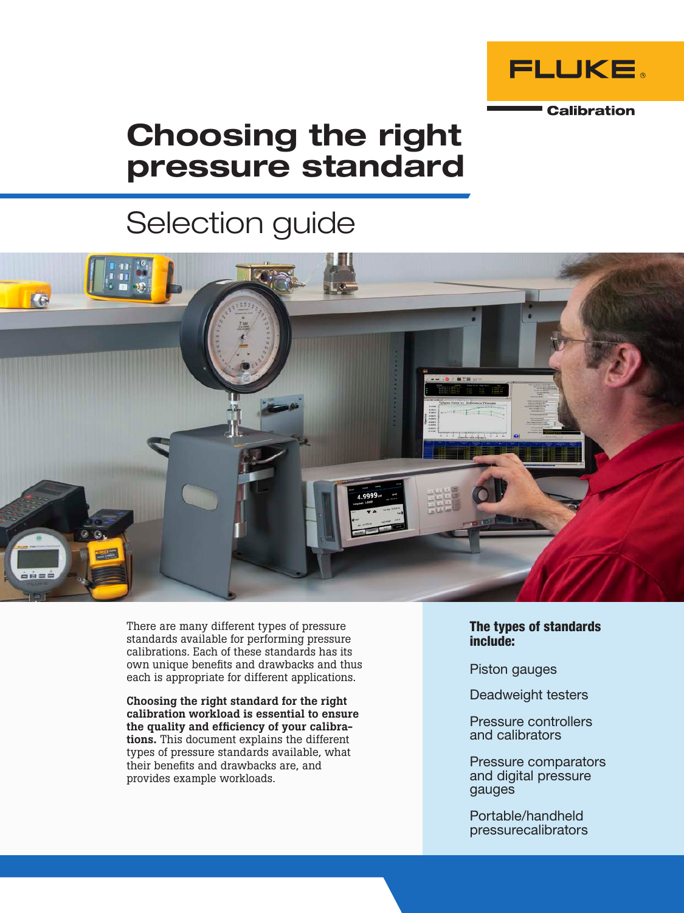

# Choosing the right pressure standard

# Selection guide



There are many different types of pressure standards available for performing pressure calibrations. Each of these standards has its own unique benefits and drawbacks and thus each is appropriate for different applications.

Choosing the right standard for the right calibration workload is essential to ensure the quality and efficiency of your calibrations. This document explains the different types of pressure standards available, what their benefits and drawbacks are, and provides example workloads.

The types of standards include:

Piston gauges

Deadweight testers

Pressure controllers and calibrators

Pressure comparators and digital pressure gauges

Portable/handheld pressurecalibrators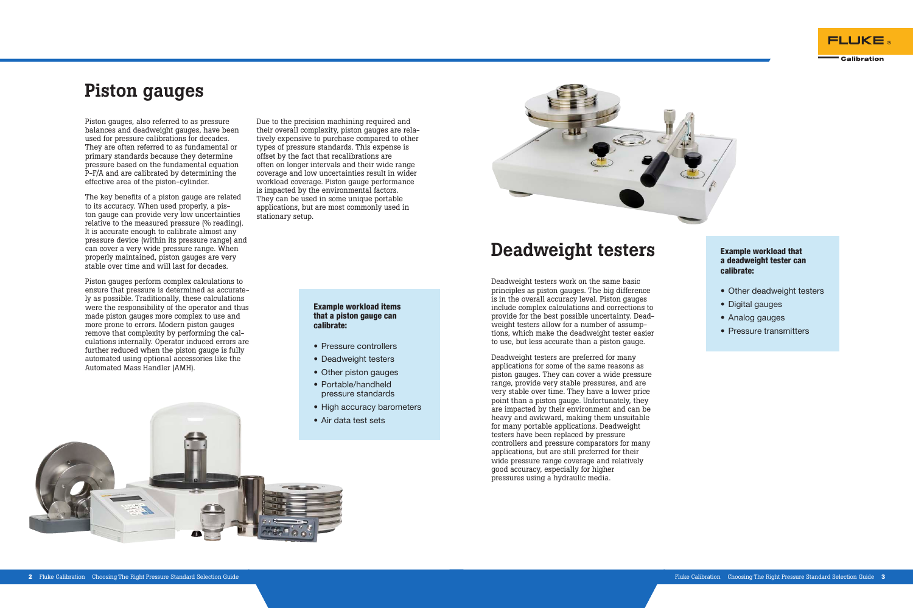Piston gauges, also referred to as pressure balances and deadweight gauges, have been used for pressure calibrations for decades. They are often referred to as fundamental or primary standards because they determine pressure based on the fundamental equation P-F/A and are calibrated by determining the effective area of the piston-cylinder.

The key benefits of a piston gauge are related to its accuracy. When used properly, a piston gauge can provide very low uncertainties relative to the measured pressure (% reading). It is accurate enough to calibrate almost any pressure device (within its pressure range) and can cover a very wide pressure range. When properly maintained, piston gauges are very stable over time and will last for decades.

Piston gauges perform complex calculations to ensure that pressure is determined as accurately as possible. Traditionally, these calculations were the responsibility of the operator and thus made piston gauges more complex to use and more prone to errors. Modern piston gauges remove that complexity by performing the calculations internally. Operator induced errors are further reduced when the piston gauge is fully automated using optional accessories like the Automated Mass Handler (AMH).

## Piston gauges

### Example workload items that a piston gauge can calibrate:

- Pressure controllers
- Deadweight testers
- Other piston gauges
- Portable/handheld pressure standards
- High accuracy barometers
- Air data test sets



- Other deadweight testers
- Digital gauges
- Analog gauges
- Pressure transmitters

Due to the precision machining required and their overall complexity, piston gauges are relatively expensive to purchase compared to other types of pressure standards. This expense is offset by the fact that recalibrations are often on longer intervals and their wide range coverage and low uncertainties result in wider workload coverage. Piston gauge performance is impacted by the environmental factors. They can be used in some unique portable applications, but are most commonly used in stationary setup.

## Deadweight testers

Deadweight testers work on the same basic principles as piston gauges. The big difference is in the overall accuracy level. Piston gauges include complex calculations and corrections to provide for the best possible uncertainty. Deadweight testers allow for a number of assumptions, which make the deadweight tester easier to use, but less accurate than a piston gauge.

Deadweight testers are preferred for many applications for some of the same reasons as piston gauges. They can cover a wide pressure range, provide very stable pressures, and are very stable over time. They have a lower price point than a piston gauge. Unfortunately, they are impacted by their environment and can be heavy and awkward, making them unsuitable for many portable applications. Deadweight testers have been replaced by pressure controllers and pressure comparators for many applications, but are still preferred for their wide pressure range coverage and relatively good accuracy, especially for higher pressures using a hydraulic media.



### Example workload that a deadweight tester can calibrate: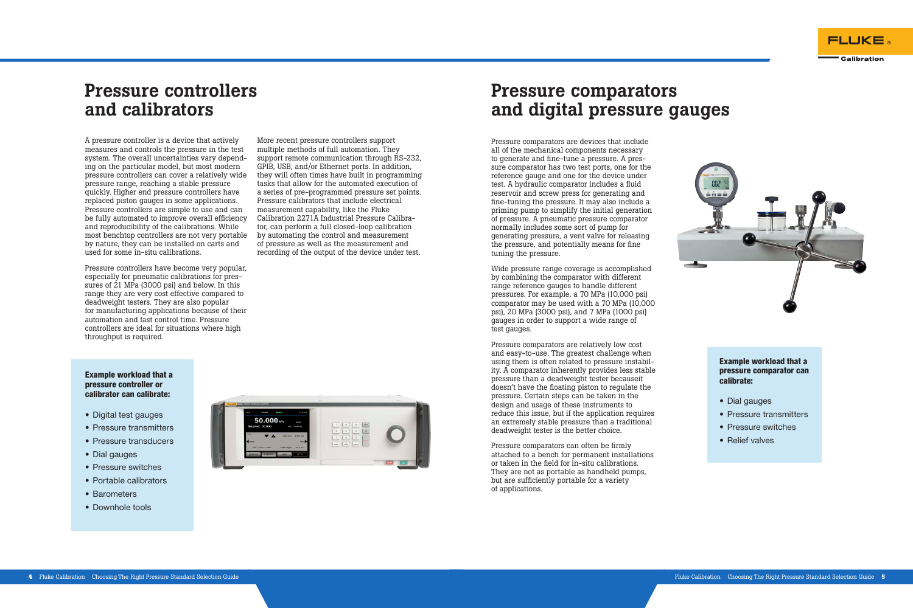### Pressure controllers and calibrators

A pressure controller is a device that actively measures and controls the pressure in the test system. The overall uncertainties vary depending on the particular model, but most modern pressure controllers can cover a relatively wide pressure range, reaching a stable pressure quickly. Higher end pressure controllers have replaced piston gauges in some applications. Pressure controllers are simple to use and can be fully automated to improve overall efficiency and reproducibility of the calibrations. While most benchtop controllers are not very portable by nature, they can be installed on carts and used for some in-situ calibrations.

Pressure controllers have become very popular, especially for pneumatic calibrations for pressures of 21 MPa (3000 psi) and below. In this range they are very cost effective compared to deadweight testers. They are also popular for manufacturing applications because of their automation and fast control time. Pressure controllers are ideal for situations where high throughput is required.

More recent pressure controllers support multiple methods of full automation. They support remote communication through RS-232. GPIB, USB, and/or Ethernet ports. In addition, they will often times have built in programming tasks that allow for the automated execution of a series of pre-programmed pressure set points. Pressure calibrators that include electrical measurement capability, like the Fluke Calibration 2271A Industrial Pressure Calibrator, can perform a full closed-loop calibration by automating the control and measurement of pressure as well as the measurement and recording of the output of the device under test.

### Example workload that a pressure controller or calibrator can calibrate:

- Digital test gauges
- Pressure transmitters
- Pressure transducers
- Dial gauges
- Pressure switches
- Portable calibrators
- Barometers
- Downhole tools



## Pressure comparators and digital pressure gauges

Pressure comparators are devices that include all of the mechanical components necessary to generate and fine-tune a pressure. A pressure comparator has two test ports, one for the reference gauge and one for the device under test. A hydraulic comparator includes a fluid reservoir and screw press for generating and fine-tuning the pressure. It may also include a priming pump to simplify the initial generation of pressure. A pneumatic pressure comparator normally includes some sort of pump for generating pressure, a vent valve for releasing the pressure, and potentially means for fine tuning the pressure.

Wide pressure range coverage is accomplished by combining the comparator with different range reference gauges to handle different pressures. For example, a 70 MPa (10,000 psi) comparator may be used with a 70 MPa (10,000 psi), 20 MPa (3000 psi), and 7 MPa (1000 psi) gauges in order to support a wide range of test gauges.

Pressure comparators are relatively low cost and easy-to-use. The greatest challenge when using them is often related to pressure instability. A comparator inherently provides less stable pressure than a deadweight tester becauseit doesn't have the floating piston to regulate the pressure. Certain steps can be taken in the design and usage of these instruments to reduce this issue, but if the application requires an extremely stable pressure than a traditional deadweight tester is the better choice.

Pressure comparators can often be firmly attached to a bench for permanent installations or taken in the field for in-situ calibrations. They are not as portable as handheld pumps, but are sufficiently portable for a variety of applications.





Example workload that a pressure comparator can calibrate:

- Dial gauges
- Pressure transmitters
- Pressure switches
- Relief valves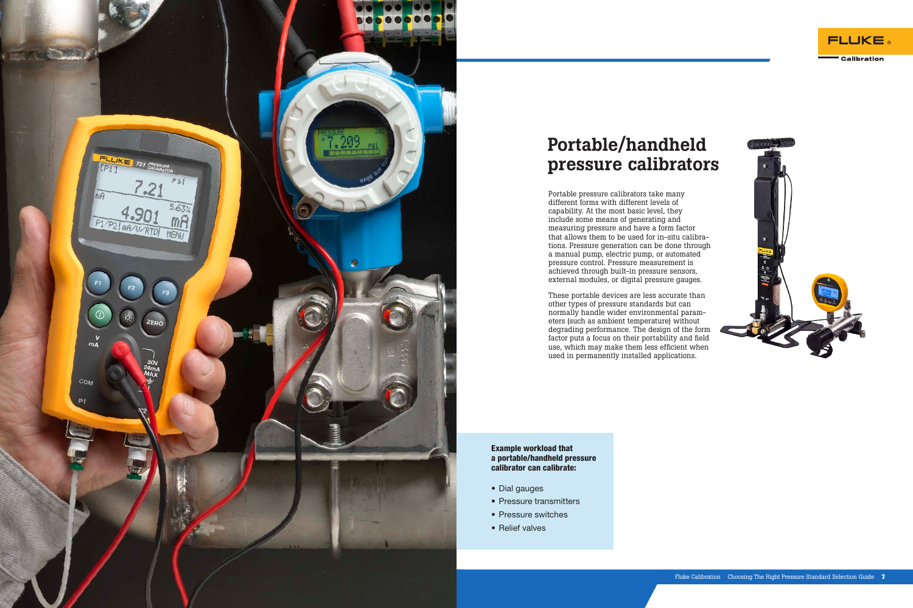

# Portable/handheld pressure calibrators

Portable pressure calibrators take many different forms with different levels of capability. At the most basic level, they include some means of generating and measuring pressure and have a form factor that allows them to be used for in-situ calibrations. Pressure generation can be done through a manual pump, electric pump, or automated pressure control. Pressure measurement is achieved through built-in pressure sensors, external modules, or digital pressure gauges.

These portable devices are less accurate than other types of pressure standards but can normally handle wider environmental parameters (such as ambient temperature) without degrading performance. The design of the form factor puts a focus on their portability and field use, which may make them less efficient when used in permanently installed applications.

Example workload that a portable/handheld pressure calibrator can calibrate:

- Dial gauges
- Pressure transmitters
- Pressure switches
- Relief valves